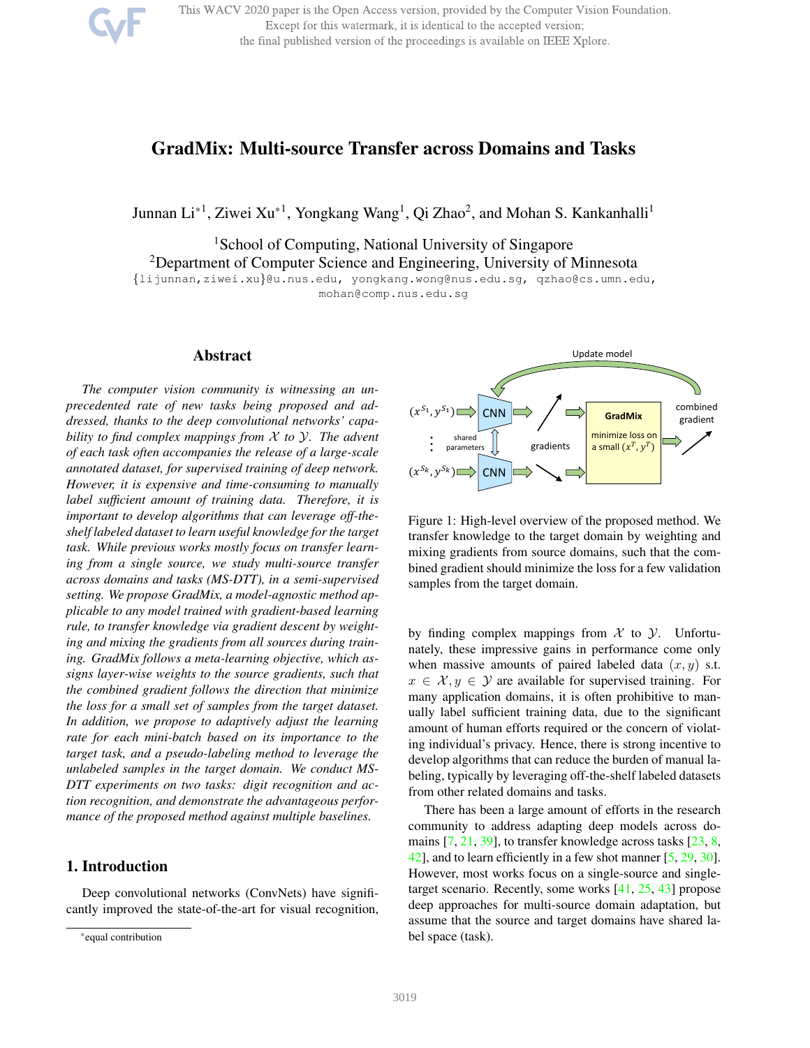This WACV 2020 paper is the Open Access version, provided by the Computer Vision Foundation. Except for this watermark, it is identical to the accepted version; the final published version of the proceedings is available on IEEE Xplore.

# GradMix: Multi-source Transfer across Domains and Tasks

Junnan Li $^{\ast1}$ , Ziwei Xu $^{\ast1}$ , Yongkang Wang<sup>1</sup>, Qi Zhao<sup>2</sup>, and Mohan S. Kankanhalli<sup>1</sup>

<sup>1</sup>School of Computing, National University of Singapore <sup>2</sup>Department of Computer Science and Engineering, University of Minnesota {lijunnan,ziwei.xu}@u.nus.edu, yongkang.wong@nus.edu.sg, qzhao@cs.umn.edu, mohan@comp.nus.edu.sg

Abstract

*The computer vision community is witnessing an unprecedented rate of new tasks being proposed and addressed, thanks to the deep convolutional networks' capability to find complex mappings from* X *to* Y*. The advent of each task often accompanies the release of a large-scale annotated dataset, for supervised training of deep network. However, it is expensive and time-consuming to manually label sufficient amount of training data. Therefore, it is important to develop algorithms that can leverage off-theshelf labeled dataset to learn useful knowledge for the target task. While previous works mostly focus on transfer learning from a single source, we study multi-source transfer across domains and tasks (MS-DTT), in a semi-supervised setting. We propose GradMix, a model-agnostic method applicable to any model trained with gradient-based learning rule, to transfer knowledge via gradient descent by weighting and mixing the gradients from all sources during training. GradMix follows a meta-learning objective, which assigns layer-wise weights to the source gradients, such that the combined gradient follows the direction that minimize the loss for a small set of samples from the target dataset. In addition, we propose to adaptively adjust the learning rate for each mini-batch based on its importance to the target task, and a pseudo-labeling method to leverage the unlabeled samples in the target domain. We conduct MS-DTT experiments on two tasks: digit recognition and action recognition, and demonstrate the advantageous performance of the proposed method against multiple baselines.*

## 1. Introduction

Deep convolutional networks (ConvNets) have significantly improved the state-of-the-art for visual recognition,



Figure 1: High-level overview of the proposed method. We transfer knowledge to the target domain by weighting and mixing gradients from source domains, such that the combined gradient should minimize the loss for a few validation samples from the target domain.

by finding complex mappings from  $X$  to  $Y$ . Unfortunately, these impressive gains in performance come only when massive amounts of paired labeled data  $(x, y)$  s.t.  $x \in \mathcal{X}, y \in \mathcal{Y}$  are available for supervised training. For many application domains, it is often prohibitive to manually label sufficient training data, due to the significant amount of human efforts required or the concern of violating individual's privacy. Hence, there is strong incentive to develop algorithms that can reduce the burden of manual labeling, typically by leveraging off-the-shelf labeled datasets from other related domains and tasks.

There has been a large amount of efforts in the research community to address adapting deep models across domains [7, 21, 39], to transfer knowledge across tasks [23, 8, 42], and to learn efficiently in a few shot manner [5, 29, 30]. However, most works focus on a single-source and singletarget scenario. Recently, some works [41, 25, 43] propose deep approaches for multi-source domain adaptation, but assume that the source and target domains have shared label space (task).

<sup>\*</sup>equal contribution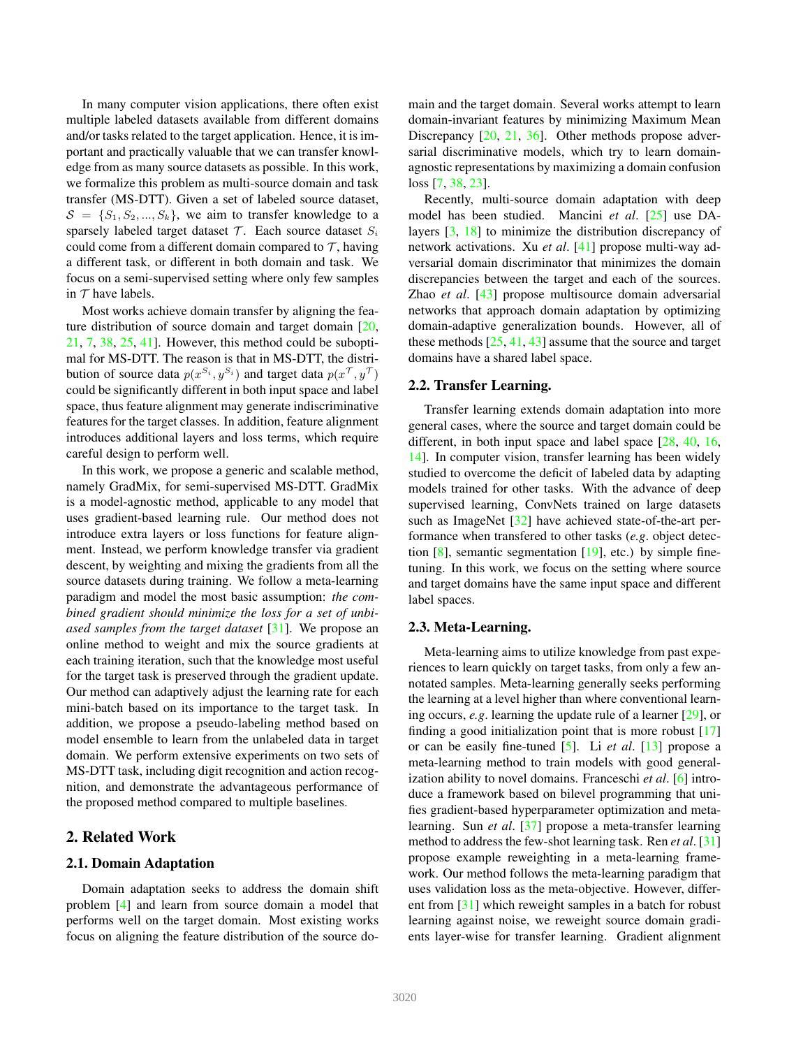In many computer vision applications, there often exist multiple labeled datasets available from different domains and/or tasks related to the target application. Hence, it is important and practically valuable that we can transfer knowledge from as many source datasets as possible. In this work, we formalize this problem as multi-source domain and task transfer (MS-DTT). Given a set of labeled source dataset,  $S = \{S_1, S_2, ..., S_k\}$ , we aim to transfer knowledge to a sparsely labeled target dataset  $T$ . Each source dataset  $S_i$ could come from a different domain compared to  $\mathcal{T}$ , having a different task, or different in both domain and task. We focus on a semi-supervised setting where only few samples in  $\tau$  have labels.

Most works achieve domain transfer by aligning the feature distribution of source domain and target domain [20, 21, 7, 38, 25, 41]. However, this method could be suboptimal for MS-DTT. The reason is that in MS-DTT, the distribution of source data  $p(x^{S_i}, y^{S_i})$  and target data  $p(x^{\mathcal{T}}, y^{\mathcal{T}})$ could be significantly different in both input space and label space, thus feature alignment may generate indiscriminative features for the target classes. In addition, feature alignment introduces additional layers and loss terms, which require careful design to perform well.

In this work, we propose a generic and scalable method, namely GradMix, for semi-supervised MS-DTT. GradMix is a model-agnostic method, applicable to any model that uses gradient-based learning rule. Our method does not introduce extra layers or loss functions for feature alignment. Instead, we perform knowledge transfer via gradient descent, by weighting and mixing the gradients from all the source datasets during training. We follow a meta-learning paradigm and model the most basic assumption: *the combined gradient should minimize the loss for a set of unbiased samples from the target dataset* [31]. We propose an online method to weight and mix the source gradients at each training iteration, such that the knowledge most useful for the target task is preserved through the gradient update. Our method can adaptively adjust the learning rate for each mini-batch based on its importance to the target task. In addition, we propose a pseudo-labeling method based on model ensemble to learn from the unlabeled data in target domain. We perform extensive experiments on two sets of MS-DTT task, including digit recognition and action recognition, and demonstrate the advantageous performance of the proposed method compared to multiple baselines.

## 2. Related Work

## 2.1. Domain Adaptation

Domain adaptation seeks to address the domain shift problem [4] and learn from source domain a model that performs well on the target domain. Most existing works focus on aligning the feature distribution of the source domain and the target domain. Several works attempt to learn domain-invariant features by minimizing Maximum Mean Discrepancy [20, 21, 36]. Other methods propose adversarial discriminative models, which try to learn domainagnostic representations by maximizing a domain confusion loss [7, 38, 23].

Recently, multi-source domain adaptation with deep model has been studied. Mancini *et al*. [25] use DAlayers [3, 18] to minimize the distribution discrepancy of network activations. Xu *et al*. [41] propose multi-way adversarial domain discriminator that minimizes the domain discrepancies between the target and each of the sources. Zhao *et al*. [43] propose multisource domain adversarial networks that approach domain adaptation by optimizing domain-adaptive generalization bounds. However, all of these methods  $[25, 41, 43]$  assume that the source and target domains have a shared label space.

## 2.2. Transfer Learning.

Transfer learning extends domain adaptation into more general cases, where the source and target domain could be different, in both input space and label space [28, 40, 16, 14]. In computer vision, transfer learning has been widely studied to overcome the deficit of labeled data by adapting models trained for other tasks. With the advance of deep supervised learning, ConvNets trained on large datasets such as ImageNet [32] have achieved state-of-the-art performance when transfered to other tasks (*e.g*. object detection  $[8]$ , semantic segmentation  $[19]$ , etc.) by simple finetuning. In this work, we focus on the setting where source and target domains have the same input space and different label spaces.

#### 2.3. Meta-Learning.

Meta-learning aims to utilize knowledge from past experiences to learn quickly on target tasks, from only a few annotated samples. Meta-learning generally seeks performing the learning at a level higher than where conventional learning occurs, *e.g*. learning the update rule of a learner [29], or finding a good initialization point that is more robust [17] or can be easily fine-tuned [5]. Li *et al*. [13] propose a meta-learning method to train models with good generalization ability to novel domains. Franceschi *et al*. [6] introduce a framework based on bilevel programming that unifies gradient-based hyperparameter optimization and metalearning. Sun *et al*. [37] propose a meta-transfer learning method to address the few-shot learning task. Ren *et al*. [31] propose example reweighting in a meta-learning framework. Our method follows the meta-learning paradigm that uses validation loss as the meta-objective. However, different from [31] which reweight samples in a batch for robust learning against noise, we reweight source domain gradients layer-wise for transfer learning. Gradient alignment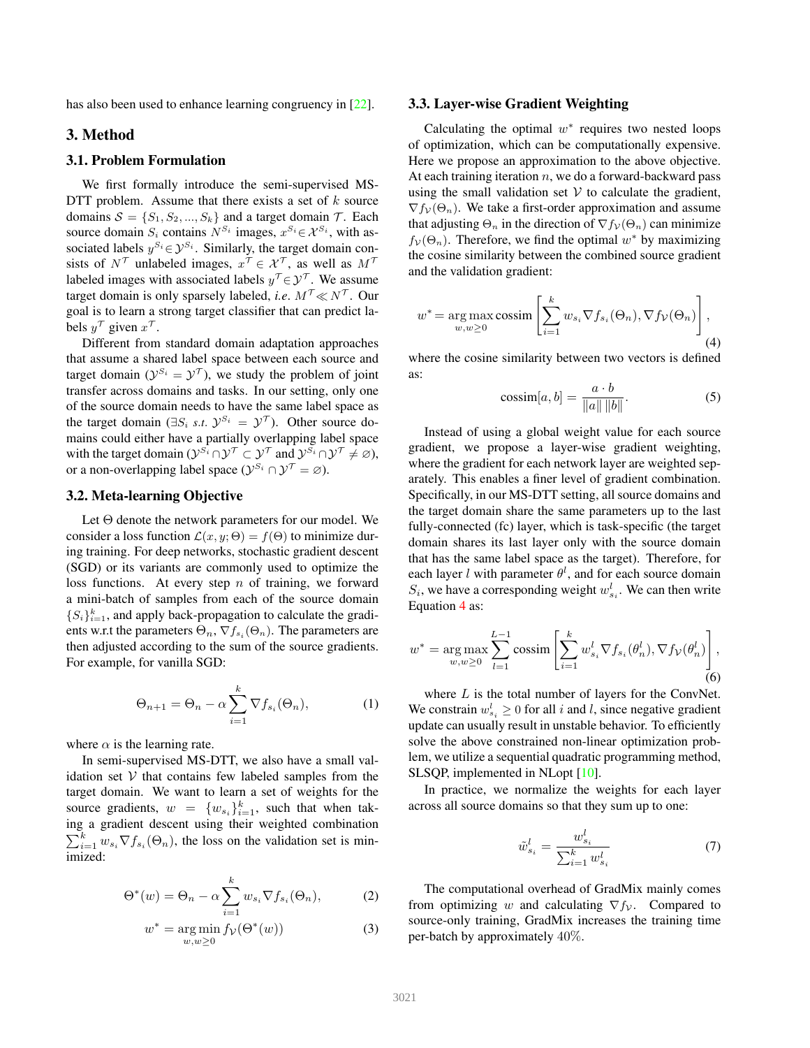has also been used to enhance learning congruency in [22].

## 3. Method

## 3.1. Problem Formulation

We first formally introduce the semi-supervised MS-DTT problem. Assume that there exists a set of  $k$  source domains  $S = \{S_1, S_2, ..., S_k\}$  and a target domain  $\mathcal{T}$ . Each source domain  $S_i$  contains  $N^{S_i}$  images,  $x^{S_i} \in \mathcal{X}^{S_i}$ , with associated labels  $y^{S_i} \in \mathcal{Y}^{S_i}$ . Similarly, the target domain consists of  $N^{\mathcal{T}}$  unlabeled images,  $x^{\mathcal{T}} \in \mathcal{X}^{\mathcal{T}}$ , as well as  $M^{\mathcal{T}}$ labeled images with associated labels  $y^\mathcal{T} \in \mathcal{Y}^\mathcal{T}$ . We assume target domain is only sparsely labeled, *i.e.*  $M^{\mathcal{T}} \ll N^{\mathcal{T}}$ . Our goal is to learn a strong target classifier that can predict labels  $y^{\tau}$  given  $x^{\tau}$ .

Different from standard domain adaptation approaches that assume a shared label space between each source and target domain ( $\mathcal{Y}^{S_i} = \mathcal{Y}^{\mathcal{T}}$ ), we study the problem of joint transfer across domains and tasks. In our setting, only one of the source domain needs to have the same label space as the target domain ( $\exists S_i$  *s.t.*  $\mathcal{Y}^{S_i} = \mathcal{Y}^{\mathcal{T}}$ ). Other source domains could either have a partially overlapping label space with the target domain  $(y^{S_i} \cap y^{\mathcal{T}} \subset y^{\mathcal{T}}$  and  $y^{S_i} \cap y^{\mathcal{T}} \neq \varnothing$ ), or a non-overlapping label space  $(\mathcal{Y}^{S_i} \cap \mathcal{Y}^T = \varnothing)$ .

## 3.2. Meta-learning Objective

Let Θ denote the network parameters for our model. We consider a loss function  $\mathcal{L}(x, y; \Theta) = f(\Theta)$  to minimize during training. For deep networks, stochastic gradient descent (SGD) or its variants are commonly used to optimize the loss functions. At every step  $n$  of training, we forward a mini-batch of samples from each of the source domain  $\{S_i\}_{i=1}^k$ , and apply back-propagation to calculate the gradients w.r.t the parameters  $\Theta_n$ ,  $\nabla f_{s_i}(\Theta_n)$ . The parameters are then adjusted according to the sum of the source gradients. For example, for vanilla SGD:

$$
\Theta_{n+1} = \Theta_n - \alpha \sum_{i=1}^{k} \nabla f_{s_i}(\Theta_n), \tag{1}
$$

where  $\alpha$  is the learning rate.

In semi-supervised MS-DTT, we also have a small validation set  $V$  that contains few labeled samples from the target domain. We want to learn a set of weights for the source gradients,  $w = \{w_{s_i}\}_{i=1}^k$ , such that when taking a gradient descent using their weighted combination  $\sum_{i=1}^{k} w_{s_i} \nabla f_{s_i}(\Theta_n)$ , the loss on the validation set is minimized:

$$
\Theta^*(w) = \Theta_n - \alpha \sum_{i=1}^k w_{s_i} \nabla f_{s_i}(\Theta_n), \tag{2}
$$

$$
w^* = \underset{w,w \ge 0}{\arg \min} f_{\mathcal{V}}(\Theta^*(w)) \tag{3}
$$

#### 3.3. Layer-wise Gradient Weighting

Calculating the optimal  $w^*$  requires two nested loops of optimization, which can be computationally expensive. Here we propose an approximation to the above objective. At each training iteration  $n$ , we do a forward-backward pass using the small validation set  $V$  to calculate the gradient,  $\nabla f_{\mathcal{V}}(\Theta_n)$ . We take a first-order approximation and assume that adjusting  $\Theta_n$  in the direction of  $\nabla f_v(\Theta_n)$  can minimize  $f_v(\Theta_n)$ . Therefore, we find the optimal  $w^*$  by maximizing the cosine similarity between the combined source gradient and the validation gradient:

$$
w^* = \underset{w,w \ge 0}{\arg \max} \operatorname{cossim} \left[ \sum_{i=1}^k w_{s_i} \nabla f_{s_i}(\Theta_n), \nabla f_{\mathcal{V}}(\Theta_n) \right],
$$
\n(4)

where the cosine similarity between two vectors is defined as:

$$
\text{cossim}[a, b] = \frac{a \cdot b}{\|a\| \|b\|}.\tag{5}
$$

Instead of using a global weight value for each source gradient, we propose a layer-wise gradient weighting, where the gradient for each network layer are weighted separately. This enables a finer level of gradient combination. Specifically, in our MS-DTT setting, all source domains and the target domain share the same parameters up to the last fully-connected (fc) layer, which is task-specific (the target domain shares its last layer only with the source domain that has the same label space as the target). Therefore, for each layer *l* with parameter  $\theta^l$ , and for each source domain  $S_i$ , we have a corresponding weight  $w_{s_i}^l$ . We can then write Equation 4 as:

$$
w^* = \underset{w,w \ge 0}{\arg \max} \sum_{l=1}^{L-1} \operatorname{cossim} \left[ \sum_{i=1}^k w_{s_i}^l \nabla f_{s_i}(\theta_n^l), \nabla f_{\mathcal{V}}(\theta_n^l) \right],
$$
(6)

where  $L$  is the total number of layers for the ConvNet. We constrain  $w_{s_i}^l \geq 0$  for all i and l, since negative gradient update can usually result in unstable behavior. To efficiently solve the above constrained non-linear optimization problem, we utilize a sequential quadratic programming method, SLSQP, implemented in NLopt [10].

In practice, we normalize the weights for each layer across all source domains so that they sum up to one:

$$
\tilde{w}_{s_i}^l = \frac{w_{s_i}^l}{\sum_{i=1}^k w_{s_i}^l} \tag{7}
$$

The computational overhead of GradMix mainly comes from optimizing w and calculating  $\nabla f_v$ . Compared to source-only training, GradMix increases the training time per-batch by approximately 40%.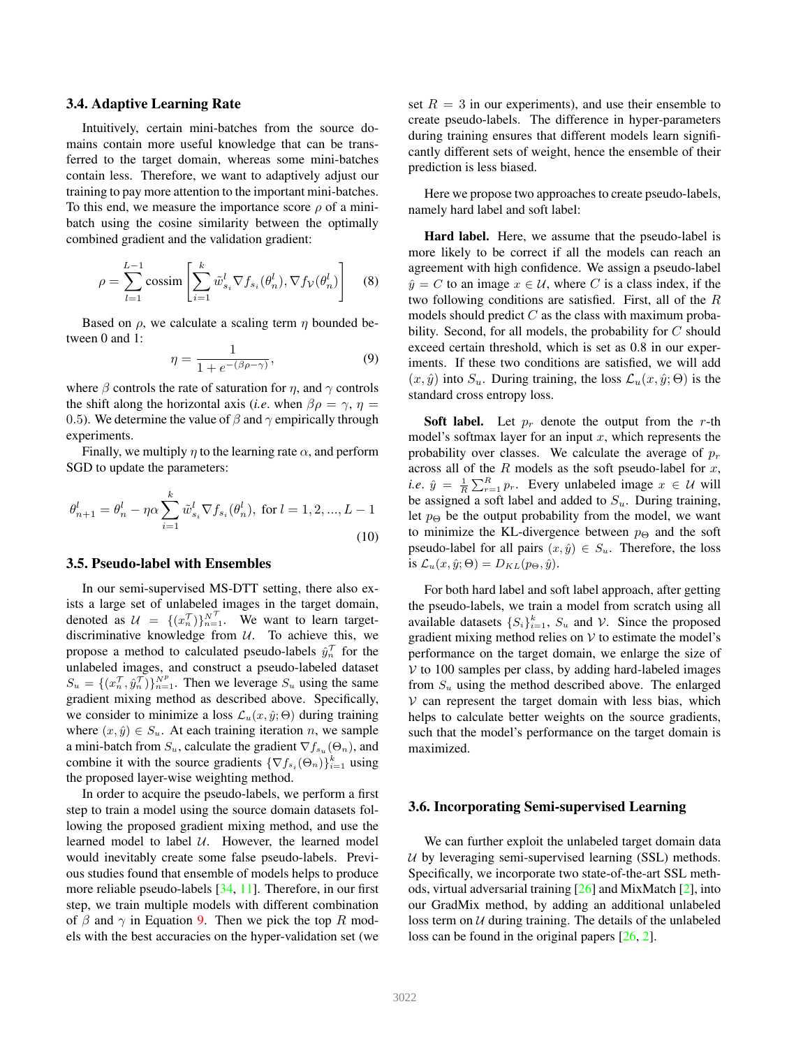#### 3.4. Adaptive Learning Rate

Intuitively, certain mini-batches from the source domains contain more useful knowledge that can be transferred to the target domain, whereas some mini-batches contain less. Therefore, we want to adaptively adjust our training to pay more attention to the important mini-batches. To this end, we measure the importance score  $\rho$  of a minibatch using the cosine similarity between the optimally combined gradient and the validation gradient:

$$
\rho = \sum_{l=1}^{L-1} \text{cossim} \left[ \sum_{i=1}^{k} \tilde{w}_{s_i}^l \nabla f_{s_i}(\theta_n^l), \nabla f_{\mathcal{V}}(\theta_n^l) \right] \quad (8)
$$

Based on  $\rho$ , we calculate a scaling term  $\eta$  bounded between 0 and 1:

$$
\eta = \frac{1}{1 + e^{-(\beta \rho - \gamma)}},\tag{9}
$$

where  $\beta$  controls the rate of saturation for  $\eta$ , and  $\gamma$  controls the shift along the horizontal axis (*i.e.* when  $\beta \rho = \gamma$ ,  $\eta =$ 0.5). We determine the value of  $\beta$  and  $\gamma$  empirically through experiments.

Finally, we multiply  $\eta$  to the learning rate  $\alpha$ , and perform SGD to update the parameters:

$$
\theta_{n+1}^l = \theta_n^l - \eta \alpha \sum_{i=1}^k \tilde{w}_{s_i}^l \nabla f_{s_i}(\theta_n^l), \text{ for } l = 1, 2, ..., L - 1
$$
\n(10)

### 3.5. Pseudo-label with Ensembles

In our semi-supervised MS-DTT setting, there also exists a large set of unlabeled images in the target domain, denoted as  $\mathcal{U} = \{ (x_n^{\mathcal{T}}) \}_{n=1}^{N^{\mathcal{T}}}$ . We want to learn targetdiscriminative knowledge from  $U$ . To achieve this, we propose a method to calculated pseudo-labels  $\hat{y}_n^{\mathcal{T}}$  for the unlabeled images, and construct a pseudo-labeled dataset  $S_u = \{ (x_n^{\mathcal{T}}, \hat{y}_n^{\mathcal{T}}) \}_{n=1}^{N^p}$ . Then we leverage  $S_u$  using the same gradient mixing method as described above. Specifically, we consider to minimize a loss  $\mathcal{L}_u(x, \hat{y}; \Theta)$  during training where  $(x, \hat{y}) \in S_u$ . At each training iteration n, we sample a mini-batch from  $S_u$ , calculate the gradient  $\nabla f_{s_u}(\Theta_n)$ , and combine it with the source gradients  $\{\nabla f_{s_i}(\Theta_n)\}_{i=1}^k$  using the proposed layer-wise weighting method.

In order to acquire the pseudo-labels, we perform a first step to train a model using the source domain datasets following the proposed gradient mixing method, and use the learned model to label  $U$ . However, the learned model would inevitably create some false pseudo-labels. Previous studies found that ensemble of models helps to produce more reliable pseudo-labels [34, 11]. Therefore, in our first step, we train multiple models with different combination of  $\beta$  and  $\gamma$  in Equation 9. Then we pick the top R models with the best accuracies on the hyper-validation set (we

set  $R = 3$  in our experiments), and use their ensemble to create pseudo-labels. The difference in hyper-parameters during training ensures that different models learn significantly different sets of weight, hence the ensemble of their prediction is less biased.

Here we propose two approaches to create pseudo-labels, namely hard label and soft label:

Hard label. Here, we assume that the pseudo-label is more likely to be correct if all the models can reach an agreement with high confidence. We assign a pseudo-label  $\hat{y} = C$  to an image  $x \in U$ , where C is a class index, if the two following conditions are satisfied. First, all of the R models should predict  $C$  as the class with maximum probability. Second, for all models, the probability for C should exceed certain threshold, which is set as 0.8 in our experiments. If these two conditions are satisfied, we will add  $(x, \hat{y})$  into  $S_u$ . During training, the loss  $\mathcal{L}_u(x, \hat{y}; \Theta)$  is the standard cross entropy loss.

**Soft label.** Let  $p_r$  denote the output from the r-th model's softmax layer for an input  $x$ , which represents the probability over classes. We calculate the average of  $p_r$ across all of the  $R$  models as the soft pseudo-label for  $x$ , *i.e.*  $\hat{y} = \frac{1}{R} \sum_{r=1}^{R} p_r$ . Every unlabeled image  $x \in \mathcal{U}$  will be assigned a soft label and added to  $S_u$ . During training, let  $p_{\Theta}$  be the output probability from the model, we want to minimize the KL-divergence between  $p_{\Theta}$  and the soft pseudo-label for all pairs  $(x, \hat{y}) \in S_u$ . Therefore, the loss is  $\mathcal{L}_u(x, \hat{y}; \Theta) = D_{KL}(p_{\Theta}, \hat{y}).$ 

For both hard label and soft label approach, after getting the pseudo-labels, we train a model from scratch using all available datasets  $\{S_i\}_{i=1}^k$ ,  $S_u$  and  $\mathcal V$ . Since the proposed gradient mixing method relies on  $V$  to estimate the model's performance on the target domain, we enlarge the size of  $V$  to 100 samples per class, by adding hard-labeled images from  $S_u$  using the method described above. The enlarged  $V$  can represent the target domain with less bias, which helps to calculate better weights on the source gradients, such that the model's performance on the target domain is maximized.

#### 3.6. Incorporating Semi-supervised Learning

We can further exploit the unlabeled target domain data  $U$  by leveraging semi-supervised learning (SSL) methods. Specifically, we incorporate two state-of-the-art SSL methods, virtual adversarial training  $[26]$  and MixMatch  $[2]$ , into our GradMix method, by adding an additional unlabeled loss term on  $U$  during training. The details of the unlabeled loss can be found in the original papers [26, 2].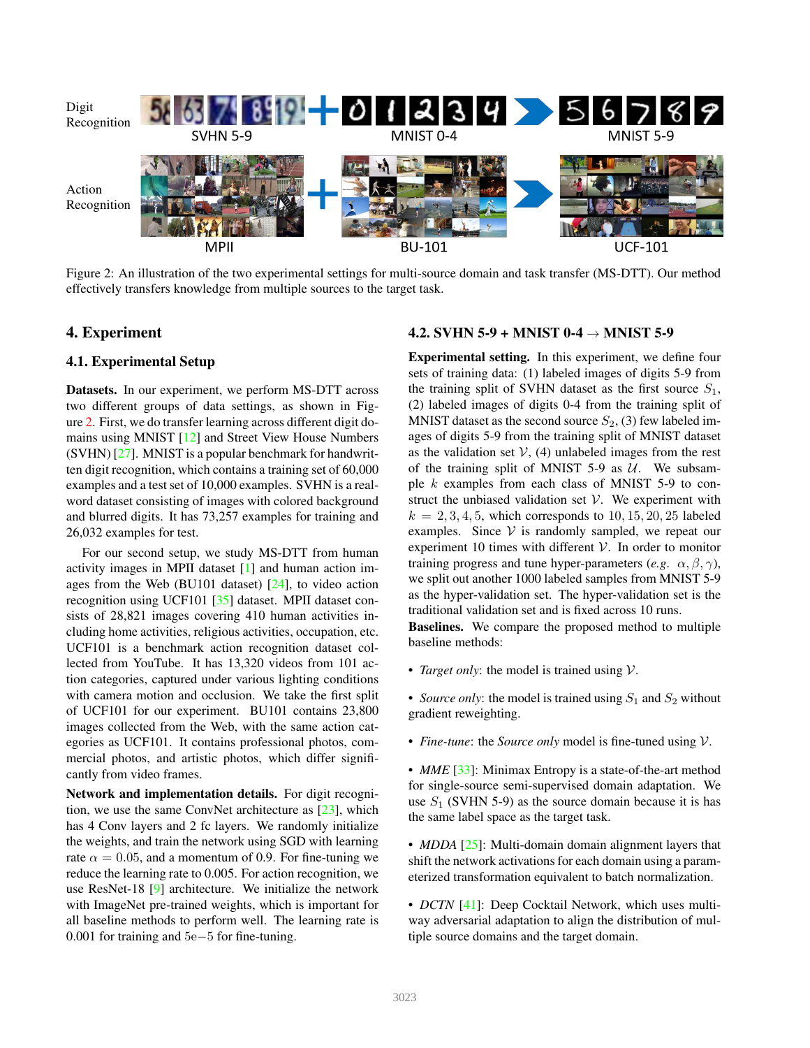

Figure 2: An illustration of the two experimental settings for multi-source domain and task transfer (MS-DTT). Our method effectively transfers knowledge from multiple sources to the target task.

## 4. Experiment

## 4.1. Experimental Setup

Datasets. In our experiment, we perform MS-DTT across two different groups of data settings, as shown in Figure 2. First, we do transfer learning across different digit domains using MNIST [12] and Street View House Numbers (SVHN) [27]. MNIST is a popular benchmark for handwritten digit recognition, which contains a training set of 60,000 examples and a test set of 10,000 examples. SVHN is a realword dataset consisting of images with colored background and blurred digits. It has 73,257 examples for training and 26,032 examples for test.

For our second setup, we study MS-DTT from human activity images in MPII dataset [1] and human action images from the Web (BU101 dataset) [24], to video action recognition using UCF101 [35] dataset. MPII dataset consists of 28,821 images covering 410 human activities including home activities, religious activities, occupation, etc. UCF101 is a benchmark action recognition dataset collected from YouTube. It has 13,320 videos from 101 action categories, captured under various lighting conditions with camera motion and occlusion. We take the first split of UCF101 for our experiment. BU101 contains 23,800 images collected from the Web, with the same action categories as UCF101. It contains professional photos, commercial photos, and artistic photos, which differ significantly from video frames.

Network and implementation details. For digit recognition, we use the same ConvNet architecture as [23], which has 4 Conv layers and 2 fc layers. We randomly initialize the weights, and train the network using SGD with learning rate  $\alpha = 0.05$ , and a momentum of 0.9. For fine-tuning we reduce the learning rate to 0.005. For action recognition, we use ResNet-18 [9] architecture. We initialize the network with ImageNet pre-trained weights, which is important for all baseline methods to perform well. The learning rate is 0.001 for training and 5e−5 for fine-tuning.

## 4.2. SVHN 5-9 + MNIST 0-4  $\rightarrow$  MNIST 5-9

Experimental setting. In this experiment, we define four sets of training data: (1) labeled images of digits 5-9 from the training split of SVHN dataset as the first source  $S_1$ , (2) labeled images of digits 0-4 from the training split of MNIST dataset as the second source  $S_2$ , (3) few labeled images of digits 5-9 from the training split of MNIST dataset as the validation set  $V$ , (4) unlabeled images from the rest of the training split of MNIST 5-9 as  $U$ . We subsample k examples from each class of MNIST 5-9 to construct the unbiased validation set  $V$ . We experiment with  $k = 2, 3, 4, 5$ , which corresponds to 10, 15, 20, 25 labeled examples. Since  $V$  is randomly sampled, we repeat our experiment 10 times with different  $V$ . In order to monitor training progress and tune hyper-parameters (*e.g.*  $\alpha$ ,  $\beta$ ,  $\gamma$ ), we split out another 1000 labeled samples from MNIST 5-9 as the hyper-validation set. The hyper-validation set is the traditional validation set and is fixed across 10 runs.

Baselines. We compare the proposed method to multiple baseline methods:

• *Target only:* the model is trained using  $V$ .

• *Source only*: the model is trained using  $S_1$  and  $S_2$  without gradient reweighting.

• *Fine-tune*: the *Source only* model is fine-tuned using V.

• *MME* [33]: Minimax Entropy is a state-of-the-art method for single-source semi-supervised domain adaptation. We use  $S_1$  (SVHN 5-9) as the source domain because it is has the same label space as the target task.

• *MDDA* [25]: Multi-domain domain alignment layers that shift the network activations for each domain using a parameterized transformation equivalent to batch normalization.

• *DCTN* [41]: Deep Cocktail Network, which uses multiway adversarial adaptation to align the distribution of multiple source domains and the target domain.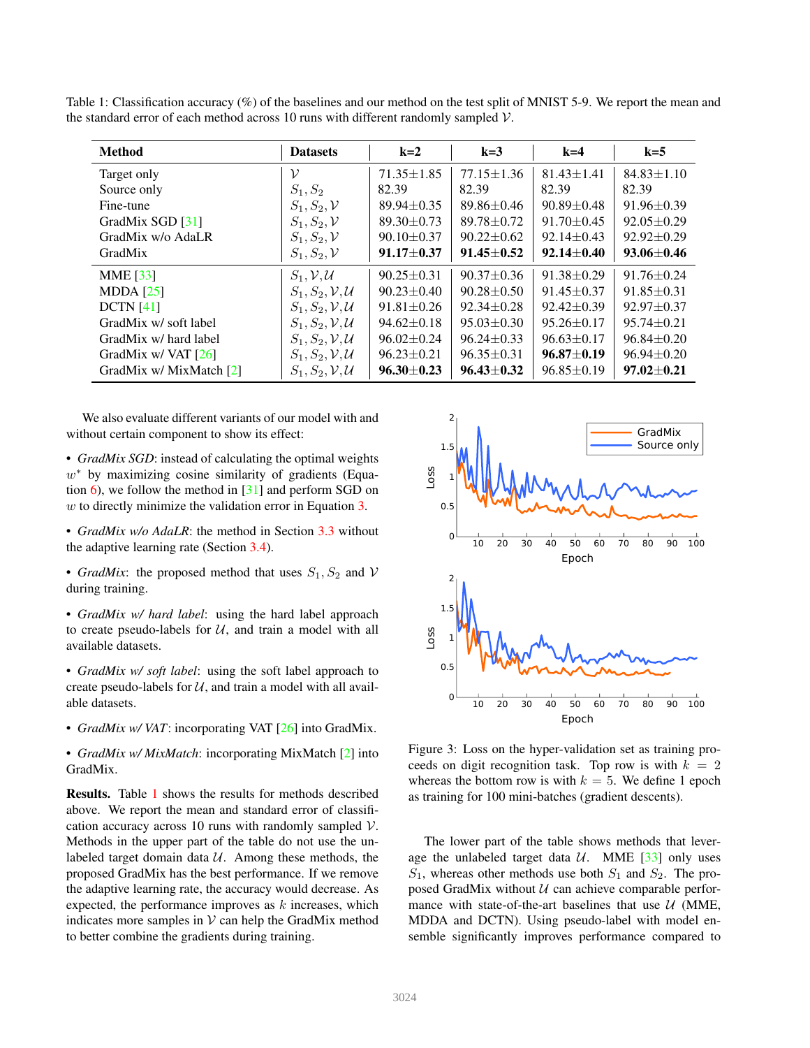Table 1: Classification accuracy (%) of the baselines and our method on the test split of MNIST 5-9. We report the mean and the standard error of each method across 10 runs with different randomly sampled  $\mathcal{V}$ .

| <b>Method</b>           | <b>Datasets</b>                      | $k=2$            | $k=3$            | $k=4$            | $k=5$            |
|-------------------------|--------------------------------------|------------------|------------------|------------------|------------------|
| Target only             | ν                                    | $71.35 \pm 1.85$ | $77.15 \pm 1.36$ | $81.43 \pm 1.41$ | $84.83 \pm 1.10$ |
| Source only             | $S_1, S_2$                           | 82.39            | 82.39            | 82.39            | 82.39            |
| Fine-tune               | $S_1, S_2, V$                        | $89.94 \pm 0.35$ | $89.86 \pm 0.46$ | $90.89 + 0.48$   | $91.96 \pm 0.39$ |
| GradMix SGD [31]        | $S_1, S_2, V$                        | $89.30 \pm 0.73$ | $89.78 + 0.72$   | $91.70 \pm 0.45$ | $92.05 \pm 0.29$ |
| GradMix w/o AdaLR       | $S_1, S_2, V$                        | $90.10 \pm 0.37$ | $90.22 + 0.62$   | $92.14 \pm 0.43$ | $92.92 \pm 0.29$ |
| GradMix                 | $S_1, S_2, V$                        | $91.17 + 0.37$   | $91.45 + 0.52$   | $92.14 + 0.40$   | $93.06 + 0.46$   |
| <b>MME</b> [33]         | $S_1, V, U$                          | $90.25 \pm 0.31$ | $90.37 \pm 0.36$ | $91.38 \pm 0.29$ | $91.76 \pm 0.24$ |
| MDDA $[25]$             | $S_1, S_2, V, U$                     | $90.23 + 0.40$   | $90.28 + 0.50$   | $91.45 \pm 0.37$ | $91.85 \pm 0.31$ |
| DCTN [41]               | $S_1, S_2, \mathcal{V}, \mathcal{U}$ | $91.81 + 0.26$   | $92.34 + 0.28$   | $92.42 + 0.39$   | $92.97 + 0.37$   |
| GradMix w/soft label    | $S_1, S_2, V, U$                     | $94.62 \pm 0.18$ | $95.03 \pm 0.30$ | $95.26 \pm 0.17$ | $95.74 + 0.21$   |
| GradMix w/ hard label   | $S_1, S_2, V, U$                     | $96.02 \pm 0.24$ | $96.24 \pm 0.33$ | $96.63 \pm 0.17$ | $96.84 + 0.20$   |
| GradMix w/ VAT $[26]$   | $S_1, S_2, V, U$                     | $96.23 \pm 0.21$ | $96.35 \pm 0.31$ | $96.87 + 0.19$   | $96.94 + 0.20$   |
| GradMix w/ MixMatch [2] | $S_1, S_2, V, U$                     | $96.30 + 0.23$   | $96.43 + 0.32$   | $96.85 \pm 0.19$ | $97.02 \pm 0.21$ |

We also evaluate different variants of our model with and without certain component to show its effect:

• *GradMix SGD*: instead of calculating the optimal weights  $w^*$  by maximizing cosine similarity of gradients (Equation  $\overline{6}$ ), we follow the method in [31] and perform SGD on w to directly minimize the validation error in Equation  $3$ .

- *GradMix w/o AdaLR*: the method in Section 3.3 without the adaptive learning rate (Section 3.4).
- *GradMix*: the proposed method that uses  $S_1, S_2$  and V during training.
- *GradMix w/ hard label*: using the hard label approach to create pseudo-labels for  $U$ , and train a model with all available datasets.
- *GradMix w/ soft label*: using the soft label approach to create pseudo-labels for  $U$ , and train a model with all available datasets.
- *GradMix w/ VAT*: incorporating VAT [26] into GradMix.

• *GradMix w/ MixMatch*: incorporating MixMatch [2] into GradMix.

Results. Table 1 shows the results for methods described above. We report the mean and standard error of classification accuracy across 10 runs with randomly sampled  $V$ . Methods in the upper part of the table do not use the unlabeled target domain data  $U$ . Among these methods, the proposed GradMix has the best performance. If we remove the adaptive learning rate, the accuracy would decrease. As expected, the performance improves as  $k$  increases, which indicates more samples in  $V$  can help the GradMix method to better combine the gradients during training.



Figure 3: Loss on the hyper-validation set as training proceeds on digit recognition task. Top row is with  $k = 2$ whereas the bottom row is with  $k = 5$ . We define 1 epoch as training for 100 mini-batches (gradient descents).

The lower part of the table shows methods that leverage the unlabeled target data  $U$ . MME [33] only uses  $S_1$ , whereas other methods use both  $S_1$  and  $S_2$ . The proposed GradMix without  $U$  can achieve comparable performance with state-of-the-art baselines that use  $U$  (MME, MDDA and DCTN). Using pseudo-label with model ensemble significantly improves performance compared to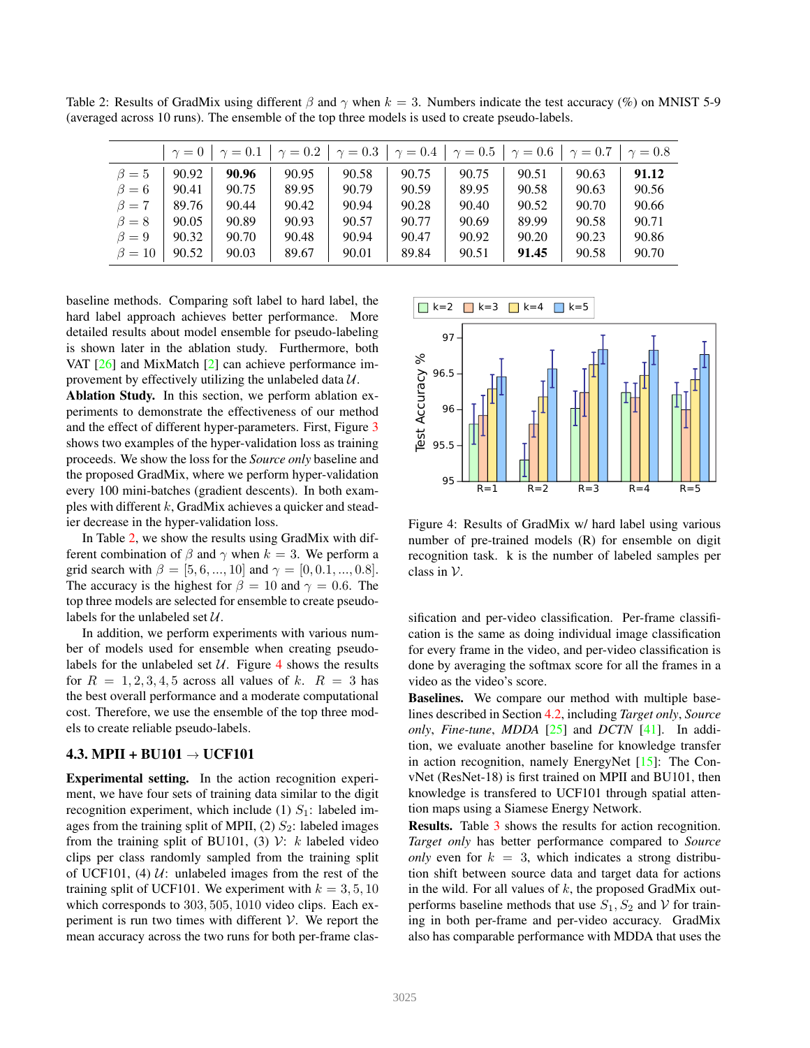Table 2: Results of GradMix using different  $\beta$  and  $\gamma$  when  $k = 3$ . Numbers indicate the test accuracy (%) on MNIST 5-9 (averaged across 10 runs). The ensemble of the top three models is used to create pseudo-labels.

| $\gamma = 0$   $\gamma = 0.1$   $\gamma = 0.2$   $\gamma = 0.3$   $\gamma = 0.4$   $\gamma = 0.5$   $\gamma = 0.6$   $\gamma = 0.7$  <br>$\gamma = 0.8$ |       |       |       |       |       |       |       |       |       |
|---------------------------------------------------------------------------------------------------------------------------------------------------------|-------|-------|-------|-------|-------|-------|-------|-------|-------|
| $\beta=5$                                                                                                                                               | 90.92 | 90.96 | 90.95 | 90.58 | 90.75 | 90.75 | 90.51 | 90.63 | 91.12 |
| $\beta=6$                                                                                                                                               | 90.41 | 90.75 | 89.95 | 90.79 | 90.59 | 89.95 | 90.58 | 90.63 | 90.56 |
| $\beta = 7$                                                                                                                                             | 89.76 | 90.44 | 90.42 | 90.94 | 90.28 | 90.40 | 90.52 | 90.70 | 90.66 |
| $\beta = 8$                                                                                                                                             | 90.05 | 90.89 | 90.93 | 90.57 | 90.77 | 90.69 | 89.99 | 90.58 | 90.71 |
| $\beta=9$                                                                                                                                               | 90.32 | 90.70 | 90.48 | 90.94 | 90.47 | 90.92 | 90.20 | 90.23 | 90.86 |
| $\beta=10$                                                                                                                                              | 90.52 | 90.03 | 89.67 | 90.01 | 89.84 | 90.51 | 91.45 | 90.58 | 90.70 |

baseline methods. Comparing soft label to hard label, the hard label approach achieves better performance. More detailed results about model ensemble for pseudo-labeling is shown later in the ablation study. Furthermore, both VAT [26] and MixMatch [2] can achieve performance improvement by effectively utilizing the unlabeled data  $U$ .

Ablation Study. In this section, we perform ablation experiments to demonstrate the effectiveness of our method and the effect of different hyper-parameters. First, Figure 3 shows two examples of the hyper-validation loss as training proceeds. We show the loss for the *Source only* baseline and the proposed GradMix, where we perform hyper-validation every 100 mini-batches (gradient descents). In both examples with different  $k$ , GradMix achieves a quicker and steadier decrease in the hyper-validation loss.

In Table 2, we show the results using GradMix with different combination of  $\beta$  and  $\gamma$  when  $k = 3$ . We perform a grid search with  $\beta = [5, 6, ..., 10]$  and  $\gamma = [0, 0.1, ..., 0.8]$ . The accuracy is the highest for  $\beta = 10$  and  $\gamma = 0.6$ . The top three models are selected for ensemble to create pseudolabels for the unlabeled set  $U$ .

In addition, we perform experiments with various number of models used for ensemble when creating pseudolabels for the unlabeled set  $U$ . Figure 4 shows the results for  $R = 1, 2, 3, 4, 5$  across all values of k.  $R = 3$  has the best overall performance and a moderate computational cost. Therefore, we use the ensemble of the top three models to create reliable pseudo-labels.

#### 4.3. MPII + BU101  $\rightarrow$  UCF101

Experimental setting. In the action recognition experiment, we have four sets of training data similar to the digit recognition experiment, which include (1)  $S_1$ : labeled images from the training split of MPII, (2)  $S_2$ : labeled images from the training split of BU101, (3)  $\mathcal{V}$ : k labeled video clips per class randomly sampled from the training split of UCF101, (4)  $U:$  unlabeled images from the rest of the training split of UCF101. We experiment with  $k = 3, 5, 10$ which corresponds to 303, 505, 1010 video clips. Each experiment is run two times with different  $V$ . We report the mean accuracy across the two runs for both per-frame clas-



Figure 4: Results of GradMix w/ hard label using various number of pre-trained models (R) for ensemble on digit recognition task. k is the number of labeled samples per class in  $V$ .

sification and per-video classification. Per-frame classification is the same as doing individual image classification for every frame in the video, and per-video classification is done by averaging the softmax score for all the frames in a video as the video's score.

Baselines. We compare our method with multiple baselines described in Section 4.2, including *Target only*, *Source only*, *Fine-tune*, *MDDA* [25] and *DCTN* [41]. In addition, we evaluate another baseline for knowledge transfer in action recognition, namely EnergyNet [15]: The ConvNet (ResNet-18) is first trained on MPII and BU101, then knowledge is transfered to UCF101 through spatial attention maps using a Siamese Energy Network.

Results. Table 3 shows the results for action recognition. *Target only* has better performance compared to *Source only* even for  $k = 3$ , which indicates a strong distribution shift between source data and target data for actions in the wild. For all values of  $k$ , the proposed GradMix outperforms baseline methods that use  $S_1$ ,  $S_2$  and  $\mathcal V$  for training in both per-frame and per-video accuracy. GradMix also has comparable performance with MDDA that uses the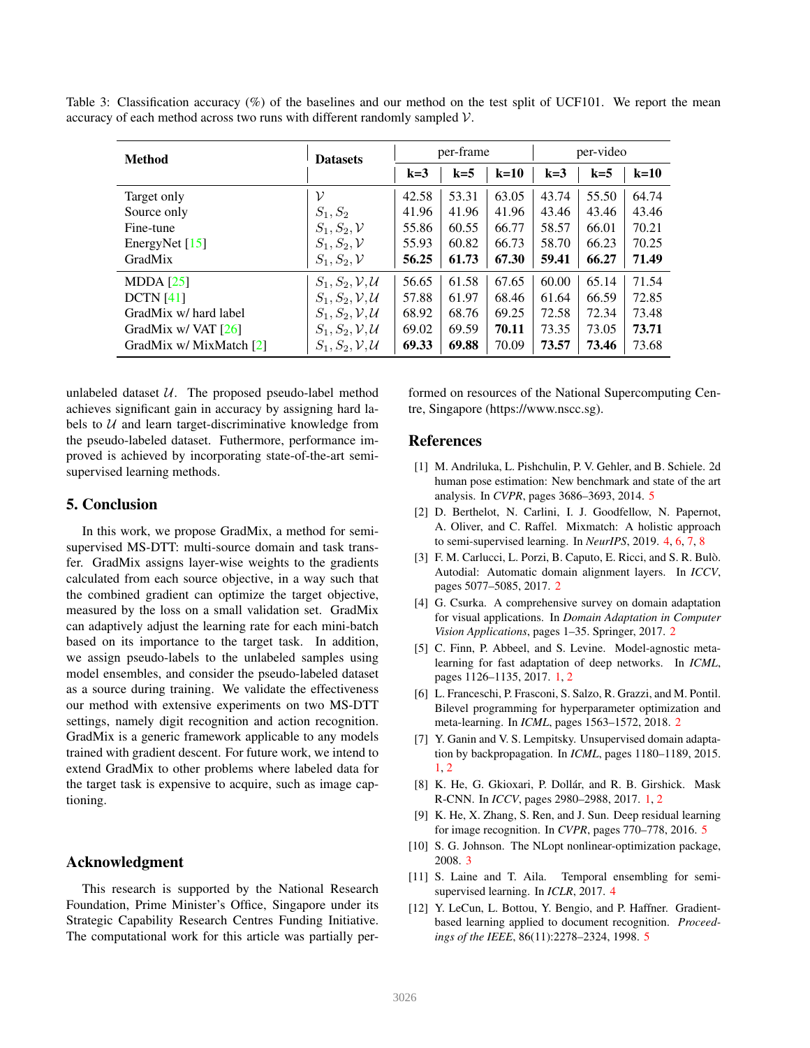Table 3: Classification accuracy (%) of the baselines and our method on the test split of UCF101. We report the mean accuracy of each method across two runs with different randomly sampled  $V$ .

| <b>Method</b>           | <b>Datasets</b>                      | per-frame |       |        | per-video |       |        |
|-------------------------|--------------------------------------|-----------|-------|--------|-----------|-------|--------|
|                         |                                      | $k=3$     | $k=5$ | $k=10$ | $k=3$     | $k=5$ | $k=10$ |
| Target only             | ν                                    | 42.58     | 53.31 | 63.05  | 43.74     | 55.50 | 64.74  |
| Source only             | $S_1, S_2$                           | 41.96     | 41.96 | 41.96  | 43.46     | 43.46 | 43.46  |
| Fine-tune               | $S_1, S_2, V$                        | 55.86     | 60.55 | 66.77  | 58.57     | 66.01 | 70.21  |
| EnergyNet [15]          | $S_1, S_2, V$                        | 55.93     | 60.82 | 66.73  | 58.70     | 66.23 | 70.25  |
| GradMix                 | $S_1, S_2, \mathcal{V}$              | 56.25     | 61.73 | 67.30  | 59.41     | 66.27 | 71.49  |
| MDDA $[25]$             | $S_1, S_2, \mathcal{V}, \mathcal{U}$ | 56.65     | 61.58 | 67.65  | 60.00     | 65.14 | 71.54  |
| DCTN [41]               | $S_1, S_2, V, U$                     | 57.88     | 61.97 | 68.46  | 61.64     | 66.59 | 72.85  |
| GradMix w/ hard label   | $S_1, S_2, V, U$                     | 68.92     | 68.76 | 69.25  | 72.58     | 72.34 | 73.48  |
| GradMix $w/$ VAT [26]   | $S_1, S_2, V, U$                     | 69.02     | 69.59 | 70.11  | 73.35     | 73.05 | 73.71  |
| GradMix w/ MixMatch [2] | $S_1, S_2, \mathcal{V}, \mathcal{U}$ | 69.33     | 69.88 | 70.09  | 73.57     | 73.46 | 73.68  |

unlabeled dataset  $U$ . The proposed pseudo-label method achieves significant gain in accuracy by assigning hard labels to  $U$  and learn target-discriminative knowledge from the pseudo-labeled dataset. Futhermore, performance improved is achieved by incorporating state-of-the-art semisupervised learning methods.

## 5. Conclusion

In this work, we propose GradMix, a method for semisupervised MS-DTT: multi-source domain and task transfer. GradMix assigns layer-wise weights to the gradients calculated from each source objective, in a way such that the combined gradient can optimize the target objective, measured by the loss on a small validation set. GradMix can adaptively adjust the learning rate for each mini-batch based on its importance to the target task. In addition, we assign pseudo-labels to the unlabeled samples using model ensembles, and consider the pseudo-labeled dataset as a source during training. We validate the effectiveness our method with extensive experiments on two MS-DTT settings, namely digit recognition and action recognition. GradMix is a generic framework applicable to any models trained with gradient descent. For future work, we intend to extend GradMix to other problems where labeled data for the target task is expensive to acquire, such as image captioning.

## Acknowledgment

This research is supported by the National Research Foundation, Prime Minister's Office, Singapore under its Strategic Capability Research Centres Funding Initiative. The computational work for this article was partially performed on resources of the National Supercomputing Centre, Singapore (https://www.nscc.sg).

### References

- [1] M. Andriluka, L. Pishchulin, P. V. Gehler, and B. Schiele. 2d human pose estimation: New benchmark and state of the art analysis. In *CVPR*, pages 3686–3693, 2014. 5
- [2] D. Berthelot, N. Carlini, I. J. Goodfellow, N. Papernot, A. Oliver, and C. Raffel. Mixmatch: A holistic approach to semi-supervised learning. In *NeurIPS*, 2019. 4, 6, 7, 8
- [3] F. M. Carlucci, L. Porzi, B. Caputo, E. Ricci, and S. R. Bulò. Autodial: Automatic domain alignment layers. In *ICCV*, pages 5077–5085, 2017. 2
- [4] G. Csurka. A comprehensive survey on domain adaptation for visual applications. In *Domain Adaptation in Computer Vision Applications*, pages 1–35. Springer, 2017. 2
- [5] C. Finn, P. Abbeel, and S. Levine. Model-agnostic metalearning for fast adaptation of deep networks. In *ICML*, pages 1126–1135, 2017. 1, 2
- [6] L. Franceschi, P. Frasconi, S. Salzo, R. Grazzi, and M. Pontil. Bilevel programming for hyperparameter optimization and meta-learning. In *ICML*, pages 1563–1572, 2018. 2
- [7] Y. Ganin and V. S. Lempitsky. Unsupervised domain adaptation by backpropagation. In *ICML*, pages 1180–1189, 2015. 1, 2
- [8] K. He, G. Gkioxari, P. Dollár, and R. B. Girshick. Mask R-CNN. In *ICCV*, pages 2980–2988, 2017. 1, 2
- [9] K. He, X. Zhang, S. Ren, and J. Sun. Deep residual learning for image recognition. In *CVPR*, pages 770–778, 2016. 5
- [10] S. G. Johnson. The NLopt nonlinear-optimization package, 2008. 3
- [11] S. Laine and T. Aila. Temporal ensembling for semisupervised learning. In *ICLR*, 2017. 4
- [12] Y. LeCun, L. Bottou, Y. Bengio, and P. Haffner. Gradientbased learning applied to document recognition. *Proceedings of the IEEE*, 86(11):2278–2324, 1998. 5